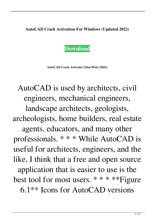**AutoCAD Crack Activation For Windows (Updated 2022)**



**AutoCAD Crack Activator [Mac/Win] (2022)**

AutoCAD is used by architects, civil engineers, mechanical engineers,

landscape architects, geologists, archeologists, home builders, real estate agents, educators, and many other professionals. \* \* \* While AutoCAD is useful for architects, engineers, and the like, I think that a free and open source application that is easier to use is the best tool for most users. \* \* \* \*\*Figure 6.1\*\* Icons for AutoCAD versions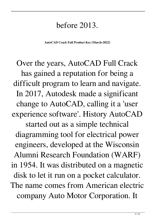## before 2013.

**AutoCAD Crack Full Product Key [March-2022]**

Over the years, AutoCAD Full Crack has gained a reputation for being a difficult program to learn and navigate. In 2017, Autodesk made a significant change to AutoCAD, calling it a 'user experience software'. History AutoCAD started out as a simple technical diagramming tool for electrical power engineers, developed at the Wisconsin Alumni Research Foundation (WARF) in 1954. It was distributed on a magnetic disk to let it run on a pocket calculator. The name comes from American electric company Auto Motor Corporation. It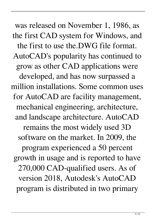was released on November 1, 1986, as the first CAD system for Windows, and the first to use the.DWG file format. AutoCAD's popularity has continued to grow as other CAD applications were developed, and has now surpassed a million installations. Some common uses for AutoCAD are facility management, mechanical engineering, architecture, and landscape architecture. AutoCAD remains the most widely used 3D software on the market. In 2009, the program experienced a 50 percent growth in usage and is reported to have 270,000 CAD-qualified users. As of version 2018, Autodesk's AutoCAD program is distributed in two primary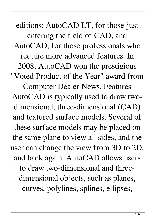editions: AutoCAD LT, for those just entering the field of CAD, and AutoCAD, for those professionals who require more advanced features. In 2008, AutoCAD won the prestigious "Voted Product of the Year" award from Computer Dealer News. Features AutoCAD is typically used to draw twodimensional, three-dimensional (CAD) and textured surface models. Several of these surface models may be placed on the same plane to view all sides, and the user can change the view from 3D to 2D, and back again. AutoCAD allows users to draw two-dimensional and threedimensional objects, such as planes, curves, polylines, splines, ellipses,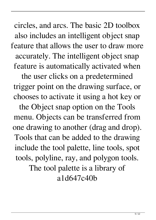circles, and arcs. The basic 2D toolbox also includes an intelligent object snap feature that allows the user to draw more accurately. The intelligent object snap feature is automatically activated when

the user clicks on a predetermined trigger point on the drawing surface, or chooses to activate it using a hot key or

the Object snap option on the Tools menu. Objects can be transferred from one drawing to another (drag and drop). Tools that can be added to the drawing include the tool palette, line tools, spot tools, polyline, ray, and polygon tools. The tool palette is a library of

a1d647c40b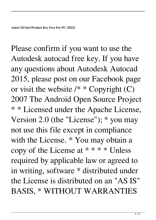Please confirm if you want to use the Autodesk autocad free key. If you have any questions about Autodesk Autocad 2015, please post on our Facebook page or visit the website  $/* * Copyright (C)$ 2007 The Android Open Source Project \* \* Licensed under the Apache License, Version 2.0 (the "License"); \* you may not use this file except in compliance with the License. \* You may obtain a copy of the License at \* \* \* \* Unless required by applicable law or agreed to in writing, software \* distributed under the License is distributed on an "AS IS" BASIS, \* WITHOUT WARRANTIES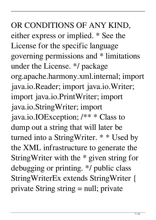OR CONDITIONS OF ANY KIND, either express or implied. \* See the License for the specific language governing permissions and \* limitations under the License. \*/ package org.apache.harmony.xml.internal; import java.io.Reader; import java.io.Writer; import java.io.PrintWriter; import java.io.StringWriter; import java.io.IOException; /\*\* \* Class to dump out a string that will later be turned into a StringWriter. \* \* Used by the XML infrastructure to generate the StringWriter with the \* given string for debugging or printing. \*/ public class StringWriterEx extends StringWriter { private String string = null; private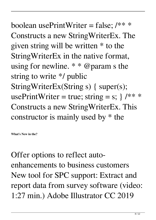boolean usePrintWriter = false;  $/*$  \* Constructs a new StringWriterEx. The given string will be written \* to the StringWriterEx in the native format, using for newline.  $* * @param s the$ string to write \*/ public StringWriterEx(String s) { super(s); usePrintWriter = true; string = s;  $\}$  /\*\* \* Constructs a new StringWriterEx. This constructor is mainly used by \* the

**What's New in the?**

Offer options to reflect autoenhancements to business customers New tool for SPC support: Extract and report data from survey software (video: 1:27 min.) Adobe Illustrator CC 2019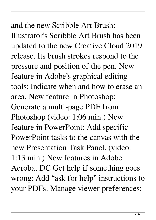## and the new Scribble Art Brush:

Illustrator's Scribble Art Brush has been updated to the new Creative Cloud 2019 release. Its brush strokes respond to the pressure and position of the pen. New feature in Adobe's graphical editing tools: Indicate when and how to erase an area. New feature in Photoshop: Generate a multi-page PDF from Photoshop (video: 1:06 min.) New feature in PowerPoint: Add specific PowerPoint tasks to the canvas with the new Presentation Task Panel. (video: 1:13 min.) New features in Adobe Acrobat DC Get help if something goes wrong: Add "ask for help" instructions to your PDFs. Manage viewer preferences: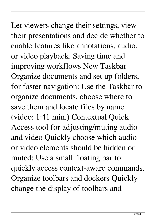Let viewers change their settings, view their presentations and decide whether to enable features like annotations, audio, or video playback. Saving time and improving workflows New Taskbar Organize documents and set up folders, for faster navigation: Use the Taskbar to organize documents, choose where to save them and locate files by name. (video: 1:41 min.) Contextual Quick Access tool for adjusting/muting audio and video Quickly choose which audio or video elements should be hidden or muted: Use a small floating bar to quickly access context-aware commands. Organize toolbars and dockers Quickly change the display of toolbars and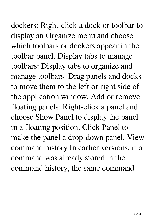## dockers: Right-click a dock or toolbar to display an Organize menu and choose which toolbars or dockers appear in the toolbar panel. Display tabs to manage toolbars: Display tabs to organize and manage toolbars. Drag panels and docks to move them to the left or right side of the application window. Add or remove floating panels: Right-click a panel and choose Show Panel to display the panel in a floating position. Click Panel to make the panel a drop-down panel. View command history In earlier versions, if a command was already stored in the command history, the same command